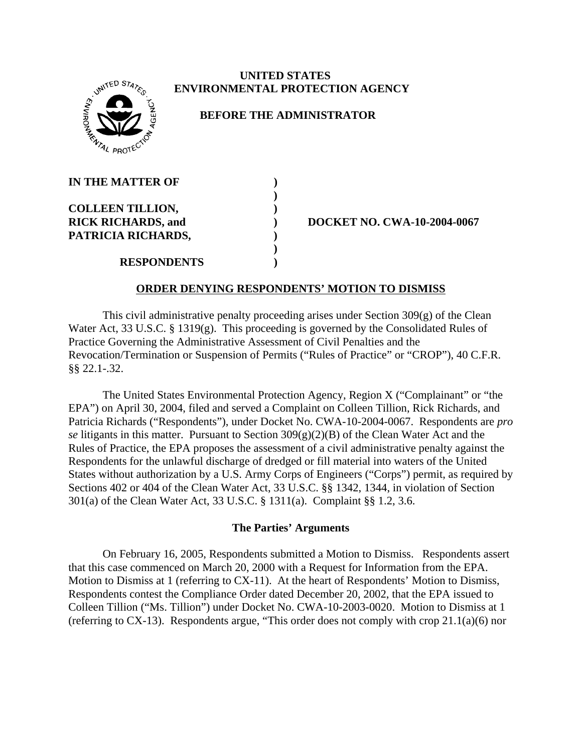# **WITED STATE** <sup>2</sup>4 PROTE

### **UNITED STATES ENVIRONMENTAL PROTECTION AGENCY**

## **BEFORE THE ADMINISTRATOR**

| <b>IN THE MATTER OF</b>   |  |
|---------------------------|--|
|                           |  |
| <b>COLLEEN TILLION,</b>   |  |
| <b>RICK RICHARDS, and</b> |  |
| PATRICIA RICHARDS,        |  |
|                           |  |
| <b>RESPONDENTS</b>        |  |

**RICK RIGHARDS, 2004-0067** 

### **ORDER DENYING RESPONDENTS' MOTION TO DISMISS**

This civil administrative penalty proceeding arises under Section 309(g) of the Clean Water Act, 33 U.S.C. § 1319(g). This proceeding is governed by the Consolidated Rules of Practice Governing the Administrative Assessment of Civil Penalties and the Revocation/Termination or Suspension of Permits ("Rules of Practice" or "CROP"), 40 C.F.R. §§ 22.1-.32.

The United States Environmental Protection Agency, Region X ("Complainant" or "the EPA") on April 30, 2004, filed and served a Complaint on Colleen Tillion, Rick Richards, and Patricia Richards ("Respondents"), under Docket No. CWA-10-2004-0067. Respondents are *pro se* litigants in this matter. Pursuant to Section 309(g)(2)(B) of the Clean Water Act and the Rules of Practice, the EPA proposes the assessment of a civil administrative penalty against the Respondents for the unlawful discharge of dredged or fill material into waters of the United States without authorization by a U.S. Army Corps of Engineers ("Corps") permit, as required by Sections 402 or 404 of the Clean Water Act, 33 U.S.C. §§ 1342, 1344, in violation of Section 301(a) of the Clean Water Act, 33 U.S.C. § 1311(a).Complaint §§ 1.2, 3.6.

## **The Parties' Arguments**

On February 16, 2005, Respondents submitted a Motion to Dismiss. Respondents assert that this case commenced on March 20, 2000 with a Request for Information from the EPA. Motion to Dismiss at 1 (referring to CX-11). At the heart of Respondents' Motion to Dismiss, Respondents contest the Compliance Order dated December 20, 2002, that the EPA issued to Colleen Tillion ("Ms. Tillion") under Docket No. CWA-10-2003-0020. Motion to Dismiss at 1 (referring to CX-13). Respondents argue, "This order does not comply with crop 21.1(a)(6) nor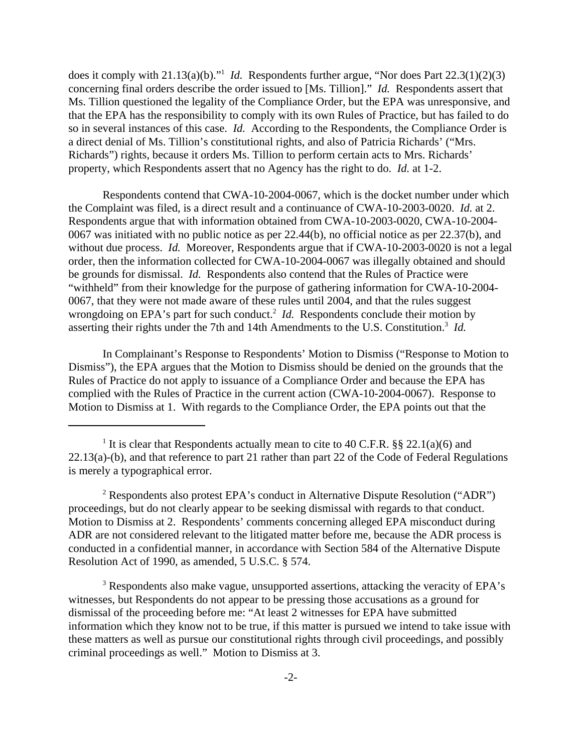does it comply with 21.13(a)(b)."<sup>1</sup> *Id.* Respondents further argue, "Nor does Part 22.3(1)(2)(3) concerning final orders describe the order issued to [Ms. Tillion]." *Id.* Respondents assert that Ms. Tillion questioned the legality of the Compliance Order, but the EPA was unresponsive, and that the EPA has the responsibility to comply with its own Rules of Practice, but has failed to do so in several instances of this case. *Id.* According to the Respondents, the Compliance Order is a direct denial of Ms. Tillion's constitutional rights, and also of Patricia Richards' ("Mrs. Richards") rights, because it orders Ms. Tillion to perform certain acts to Mrs. Richards' property, which Respondents assert that no Agency has the right to do. *Id.* at 1-2.

Respondents contend that CWA-10-2004-0067, which is the docket number under which the Complaint was filed, is a direct result and a continuance of CWA-10-2003-0020. *Id.* at 2. Respondents argue that with information obtained from CWA-10-2003-0020, CWA-10-2004- 0067 was initiated with no public notice as per 22.44(b), no official notice as per 22.37(b), and without due process. *Id.* Moreover, Respondents argue that if CWA-10-2003-0020 is not a legal order, then the information collected for CWA-10-2004-0067 was illegally obtained and should be grounds for dismissal. *Id.* Respondents also contend that the Rules of Practice were "withheld" from their knowledge for the purpose of gathering information for CWA-10-2004- 0067, that they were not made aware of these rules until 2004, and that the rules suggest wrongdoing on EPA's part for such conduct.<sup>2</sup> *Id*. Respondents conclude their motion by asserting their rights under the 7th and 14th Amendments to the U.S. Constitution.<sup>3</sup> Id.

In Complainant's Response to Respondents' Motion to Dismiss ("Response to Motion to Dismiss"), the EPA argues that the Motion to Dismiss should be denied on the grounds that the Rules of Practice do not apply to issuance of a Compliance Order and because the EPA has complied with the Rules of Practice in the current action (CWA-10-2004-0067). Response to Motion to Dismiss at 1. With regards to the Compliance Order, the EPA points out that the

<sup>2</sup> Respondents also protest EPA's conduct in Alternative Dispute Resolution ("ADR") proceedings, but do not clearly appear to be seeking dismissal with regards to that conduct. Motion to Dismiss at 2. Respondents' comments concerning alleged EPA misconduct during ADR are not considered relevant to the litigated matter before me, because the ADR process is conducted in a confidential manner, in accordance with Section 584 of the Alternative Dispute Resolution Act of 1990, as amended, 5 U.S.C. § 574.

<sup>3</sup> Respondents also make vague, unsupported assertions, attacking the veracity of EPA's witnesses, but Respondents do not appear to be pressing those accusations as a ground for dismissal of the proceeding before me: "At least 2 witnesses for EPA have submitted information which they know not to be true, if this matter is pursued we intend to take issue with these matters as well as pursue our constitutional rights through civil proceedings, and possibly criminal proceedings as well." Motion to Dismiss at 3.

<sup>&</sup>lt;sup>1</sup> It is clear that Respondents actually mean to cite to 40 C.F.R. §§ 22.1(a)(6) and 22.13(a)-(b), and that reference to part 21 rather than part 22 of the Code of Federal Regulations is merely a typographical error.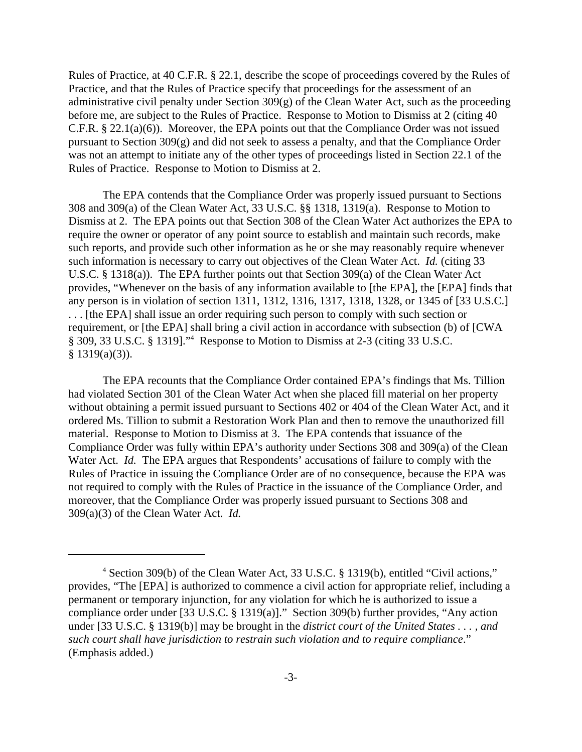Rules of Practice, at 40 C.F.R. § 22.1, describe the scope of proceedings covered by the Rules of Practice, and that the Rules of Practice specify that proceedings for the assessment of an administrative civil penalty under Section 309(g) of the Clean Water Act, such as the proceeding before me, are subject to the Rules of Practice. Response to Motion to Dismiss at 2 (citing 40 C.F.R. § 22.1(a)(6)). Moreover, the EPA points out that the Compliance Order was not issued pursuant to Section 309(g) and did not seek to assess a penalty, and that the Compliance Order was not an attempt to initiate any of the other types of proceedings listed in Section 22.1 of the Rules of Practice. Response to Motion to Dismiss at 2.

The EPA contends that the Compliance Order was properly issued pursuant to Sections 308 and 309(a) of the Clean Water Act, 33 U.S.C. §§ 1318, 1319(a). Response to Motion to Dismiss at 2. The EPA points out that Section 308 of the Clean Water Act authorizes the EPA to require the owner or operator of any point source to establish and maintain such records, make such reports, and provide such other information as he or she may reasonably require whenever such information is necessary to carry out objectives of the Clean Water Act. *Id.* (citing 33 U.S.C. § 1318(a)). The EPA further points out that Section 309(a) of the Clean Water Act provides, "Whenever on the basis of any information available to [the EPA], the [EPA] finds that any person is in violation of section 1311, 1312, 1316, 1317, 1318, 1328, or 1345 of [33 U.S.C.] . . . [the EPA] shall issue an order requiring such person to comply with such section or requirement, or [the EPA] shall bring a civil action in accordance with subsection (b) of [CWA § 309, 33 U.S.C. § 1319]."4 Response to Motion to Dismiss at 2-3 (citing 33 U.S.C.  $§ 1319(a)(3)$ ).

The EPA recounts that the Compliance Order contained EPA's findings that Ms. Tillion had violated Section 301 of the Clean Water Act when she placed fill material on her property without obtaining a permit issued pursuant to Sections 402 or 404 of the Clean Water Act, and it ordered Ms. Tillion to submit a Restoration Work Plan and then to remove the unauthorized fill material. Response to Motion to Dismiss at 3. The EPA contends that issuance of the Compliance Order was fully within EPA's authority under Sections 308 and 309(a) of the Clean Water Act. *Id.* The EPA argues that Respondents' accusations of failure to comply with the Rules of Practice in issuing the Compliance Order are of no consequence, because the EPA was not required to comply with the Rules of Practice in the issuance of the Compliance Order, and moreover, that the Compliance Order was properly issued pursuant to Sections 308 and 309(a)(3) of the Clean Water Act. *Id.*

<sup>&</sup>lt;sup>4</sup> Section 309(b) of the Clean Water Act, 33 U.S.C. § 1319(b), entitled "Civil actions," provides, "The [EPA] is authorized to commence a civil action for appropriate relief, including a permanent or temporary injunction, for any violation for which he is authorized to issue a compliance order under [33 U.S.C. § 1319(a)]." Section 309(b) further provides, "Any action under [33 U.S.C. § 1319(b)] may be brought in the *district court of the United States . . . , and such court shall have jurisdiction to restrain such violation and to require compliance*." (Emphasis added.)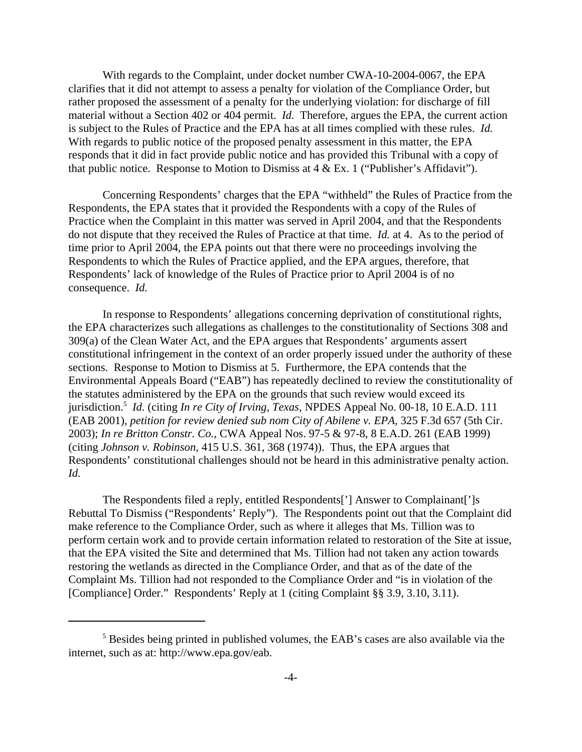With regards to the Complaint, under docket number CWA-10-2004-0067, the EPA clarifies that it did not attempt to assess a penalty for violation of the Compliance Order, but rather proposed the assessment of a penalty for the underlying violation: for discharge of fill material without a Section 402 or 404 permit. *Id.* Therefore, argues the EPA, the current action is subject to the Rules of Practice and the EPA has at all times complied with these rules. *Id.*  With regards to public notice of the proposed penalty assessment in this matter, the EPA responds that it did in fact provide public notice and has provided this Tribunal with a copy of that public notice. Response to Motion to Dismiss at  $4 \& Ex. 1$  ("Publisher's Affidavit").

Concerning Respondents' charges that the EPA "withheld" the Rules of Practice from the Respondents, the EPA states that it provided the Respondents with a copy of the Rules of Practice when the Complaint in this matter was served in April 2004, and that the Respondents do not dispute that they received the Rules of Practice at that time. *Id.* at 4. As to the period of time prior to April 2004, the EPA points out that there were no proceedings involving the Respondents to which the Rules of Practice applied, and the EPA argues, therefore, that Respondents' lack of knowledge of the Rules of Practice prior to April 2004 is of no consequence. *Id.*

In response to Respondents' allegations concerning deprivation of constitutional rights, the EPA characterizes such allegations as challenges to the constitutionality of Sections 308 and 309(a) of the Clean Water Act, and the EPA argues that Respondents' arguments assert constitutional infringement in the context of an order properly issued under the authority of these sections. Response to Motion to Dismiss at 5. Furthermore, the EPA contends that the Environmental Appeals Board ("EAB") has repeatedly declined to review the constitutionality of the statutes administered by the EPA on the grounds that such review would exceed its jurisdiction.5 *Id.* (citing *In re City of Irving, Texas,* NPDES Appeal No. 00-18, 10 E.A.D. 111 (EAB 2001), *petition for review denied sub nom City of Abilene v. EPA,* 325 F.3d 657 (5th Cir. 2003); *In re Britton Constr. Co.,* CWA Appeal Nos. 97-5 & 97-8, 8 E.A.D. 261 (EAB 1999) (citing *Johnson v. Robinson,* 415 U.S. 361, 368 (1974)). Thus, the EPA argues that Respondents' constitutional challenges should not be heard in this administrative penalty action. *Id.*

The Respondents filed a reply, entitled Respondents['] Answer to Complainant[']s Rebuttal To Dismiss ("Respondents' Reply"). The Respondents point out that the Complaint did make reference to the Compliance Order, such as where it alleges that Ms. Tillion was to perform certain work and to provide certain information related to restoration of the Site at issue, that the EPA visited the Site and determined that Ms. Tillion had not taken any action towards restoring the wetlands as directed in the Compliance Order, and that as of the date of the Complaint Ms. Tillion had not responded to the Compliance Order and "is in violation of the [Compliance] Order." Respondents' Reply at 1 (citing Complaint §§ 3.9, 3.10, 3.11).

<sup>&</sup>lt;sup>5</sup> Besides being printed in published volumes, the EAB's cases are also available via the internet, such as at: http://www.epa.gov/eab.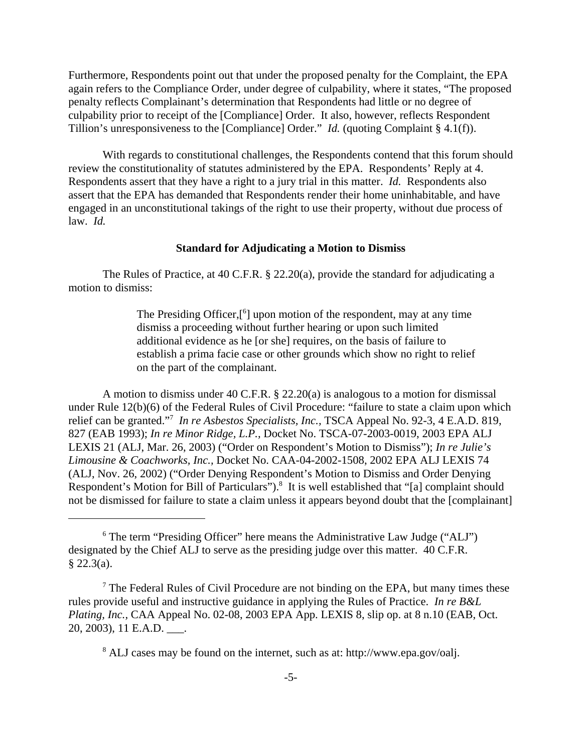Furthermore, Respondents point out that under the proposed penalty for the Complaint, the EPA again refers to the Compliance Order, under degree of culpability, where it states, "The proposed penalty reflects Complainant's determination that Respondents had little or no degree of culpability prior to receipt of the [Compliance] Order. It also, however, reflects Respondent Tillion's unresponsiveness to the [Compliance] Order." *Id.* (quoting Complaint § 4.1(f)).

With regards to constitutional challenges, the Respondents contend that this forum should review the constitutionality of statutes administered by the EPA. Respondents' Reply at 4. Respondents assert that they have a right to a jury trial in this matter. *Id.* Respondents also assert that the EPA has demanded that Respondents render their home uninhabitable, and have engaged in an unconstitutional takings of the right to use their property, without due process of law. *Id.*

#### **Standard for Adjudicating a Motion to Dismiss**

The Rules of Practice, at 40 C.F.R. § 22.20(a), provide the standard for adjudicating a motion to dismiss:

> The Presiding Officer,[<sup>6</sup>] upon motion of the respondent, may at any time dismiss a proceeding without further hearing or upon such limited additional evidence as he [or she] requires, on the basis of failure to establish a prima facie case or other grounds which show no right to relief on the part of the complainant.

A motion to dismiss under 40 C.F.R. § 22.20(a) is analogous to a motion for dismissal under Rule 12(b)(6) of the Federal Rules of Civil Procedure: "failure to state a claim upon which relief can be granted."7 *In re Asbestos Specialists, Inc.,* TSCA Appeal No. 92-3, 4 E.A.D. 819, 827 (EAB 1993); *In re Minor Ridge, L.P.,* Docket No. TSCA-07-2003-0019, 2003 EPA ALJ LEXIS 21 (ALJ, Mar. 26, 2003) ("Order on Respondent's Motion to Dismiss"); *In re Julie's Limousine & Coachworks, Inc.,* Docket No. CAA-04-2002-1508, 2002 EPA ALJ LEXIS 74 (ALJ, Nov. 26, 2002) ("Order Denying Respondent's Motion to Dismiss and Order Denying Respondent's Motion for Bill of Particulars").<sup>8</sup> It is well established that "[a] complaint should not be dismissed for failure to state a claim unless it appears beyond doubt that the [complainant]

<sup>8</sup> ALJ cases may be found on the internet, such as at: http://www.epa.gov/oalj.

<sup>&</sup>lt;sup>6</sup> The term "Presiding Officer" here means the Administrative Law Judge ("ALJ") designated by the Chief ALJ to serve as the presiding judge over this matter. 40 C.F.R. § 22.3(a).

<sup>&</sup>lt;sup>7</sup> The Federal Rules of Civil Procedure are not binding on the EPA, but many times these rules provide useful and instructive guidance in applying the Rules of Practice. *In re B&L Plating, Inc.,* CAA Appeal No. 02-08, 2003 EPA App. LEXIS 8, slip op. at 8 n.10 (EAB, Oct. 20, 2003), 11 E.A.D. \_\_\_.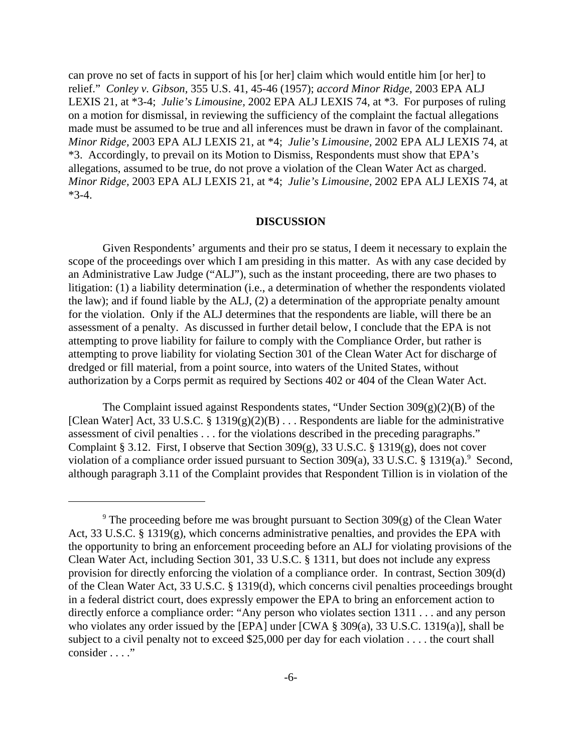can prove no set of facts in support of his [or her] claim which would entitle him [or her] to relief." *Conley v. Gibson,* 355 U.S. 41, 45-46 (1957); *accord Minor Ridge,* 2003 EPA ALJ LEXIS 21, at \*3-4; *Julie's Limousine,* 2002 EPA ALJ LEXIS 74, at \*3. For purposes of ruling on a motion for dismissal, in reviewing the sufficiency of the complaint the factual allegations made must be assumed to be true and all inferences must be drawn in favor of the complainant. *Minor Ridge,* 2003 EPA ALJ LEXIS 21, at \*4; *Julie's Limousine,* 2002 EPA ALJ LEXIS 74, at \*3. Accordingly, to prevail on its Motion to Dismiss, Respondents must show that EPA's allegations, assumed to be true, do not prove a violation of the Clean Water Act as charged. *Minor Ridge,* 2003 EPA ALJ LEXIS 21, at \*4; *Julie's Limousine,* 2002 EPA ALJ LEXIS 74, at  $*3-4.$ 

#### **DISCUSSION**

Given Respondents' arguments and their pro se status, I deem it necessary to explain the scope of the proceedings over which I am presiding in this matter. As with any case decided by an Administrative Law Judge ("ALJ"), such as the instant proceeding, there are two phases to litigation: (1) a liability determination (i.e., a determination of whether the respondents violated the law); and if found liable by the ALJ, (2) a determination of the appropriate penalty amount for the violation. Only if the ALJ determines that the respondents are liable, will there be an assessment of a penalty. As discussed in further detail below, I conclude that the EPA is not attempting to prove liability for failure to comply with the Compliance Order, but rather is attempting to prove liability for violating Section 301 of the Clean Water Act for discharge of dredged or fill material, from a point source, into waters of the United States, without authorization by a Corps permit as required by Sections 402 or 404 of the Clean Water Act.

The Complaint issued against Respondents states, "Under Section 309(g)(2)(B) of the [Clean Water] Act, 33 U.S.C. § 1319(g)(2)(B)  $\ldots$  Respondents are liable for the administrative assessment of civil penalties . . . for the violations described in the preceding paragraphs." Complaint § 3.12. First, I observe that Section 309(g), 33 U.S.C. § 1319(g), does not cover violation of a compliance order issued pursuant to Section 309(a), 33 U.S.C. § 1319(a).<sup>9</sup> Second, although paragraph 3.11 of the Complaint provides that Respondent Tillion is in violation of the

<sup>&</sup>lt;sup>9</sup> The proceeding before me was brought pursuant to Section 309 $(g)$  of the Clean Water Act, 33 U.S.C. § 1319(g), which concerns administrative penalties, and provides the EPA with the opportunity to bring an enforcement proceeding before an ALJ for violating provisions of the Clean Water Act, including Section 301, 33 U.S.C. § 1311, but does not include any express provision for directly enforcing the violation of a compliance order. In contrast, Section 309(d) of the Clean Water Act, 33 U.S.C. § 1319(d), which concerns civil penalties proceedings brought in a federal district court, does expressly empower the EPA to bring an enforcement action to directly enforce a compliance order: "Any person who violates section 1311 . . . and any person who violates any order issued by the [EPA] under [CWA § 309(a), 33 U.S.C. 1319(a)], shall be subject to a civil penalty not to exceed \$25,000 per day for each violation . . . . the court shall consider . . . ."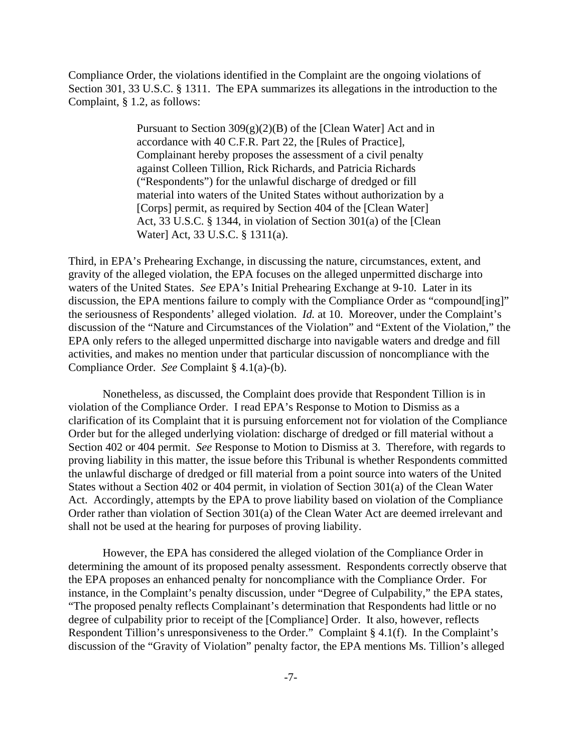Compliance Order, the violations identified in the Complaint are the ongoing violations of Section 301, 33 U.S.C. § 1311. The EPA summarizes its allegations in the introduction to the Complaint, § 1.2, as follows:

> Pursuant to Section 309(g)(2)(B) of the [Clean Water] Act and in accordance with 40 C.F.R. Part 22, the [Rules of Practice], Complainant hereby proposes the assessment of a civil penalty against Colleen Tillion, Rick Richards, and Patricia Richards ("Respondents") for the unlawful discharge of dredged or fill material into waters of the United States without authorization by a [Corps] permit, as required by Section 404 of the [Clean Water] Act, 33 U.S.C. § 1344, in violation of Section 301(a) of the [Clean Water] Act, 33 U.S.C. § 1311(a).

Third, in EPA's Prehearing Exchange, in discussing the nature, circumstances, extent, and gravity of the alleged violation, the EPA focuses on the alleged unpermitted discharge into waters of the United States. *See* EPA's Initial Prehearing Exchange at 9-10. Later in its discussion, the EPA mentions failure to comply with the Compliance Order as "compound[ing]" the seriousness of Respondents' alleged violation. *Id.* at 10. Moreover, under the Complaint's discussion of the "Nature and Circumstances of the Violation" and "Extent of the Violation," the EPA only refers to the alleged unpermitted discharge into navigable waters and dredge and fill activities, and makes no mention under that particular discussion of noncompliance with the Compliance Order. *See* Complaint § 4.1(a)-(b).

Nonetheless, as discussed, the Complaint does provide that Respondent Tillion is in violation of the Compliance Order. I read EPA's Response to Motion to Dismiss as a clarification of its Complaint that it is pursuing enforcement not for violation of the Compliance Order but for the alleged underlying violation: discharge of dredged or fill material without a Section 402 or 404 permit. *See* Response to Motion to Dismiss at 3. Therefore, with regards to proving liability in this matter, the issue before this Tribunal is whether Respondents committed the unlawful discharge of dredged or fill material from a point source into waters of the United States without a Section 402 or 404 permit, in violation of Section 301(a) of the Clean Water Act. Accordingly, attempts by the EPA to prove liability based on violation of the Compliance Order rather than violation of Section 301(a) of the Clean Water Act are deemed irrelevant and shall not be used at the hearing for purposes of proving liability.

However, the EPA has considered the alleged violation of the Compliance Order in determining the amount of its proposed penalty assessment. Respondents correctly observe that the EPA proposes an enhanced penalty for noncompliance with the Compliance Order. For instance, in the Complaint's penalty discussion, under "Degree of Culpability," the EPA states, "The proposed penalty reflects Complainant's determination that Respondents had little or no degree of culpability prior to receipt of the [Compliance] Order. It also, however, reflects Respondent Tillion's unresponsiveness to the Order." Complaint § 4.1(f). In the Complaint's discussion of the "Gravity of Violation" penalty factor, the EPA mentions Ms. Tillion's alleged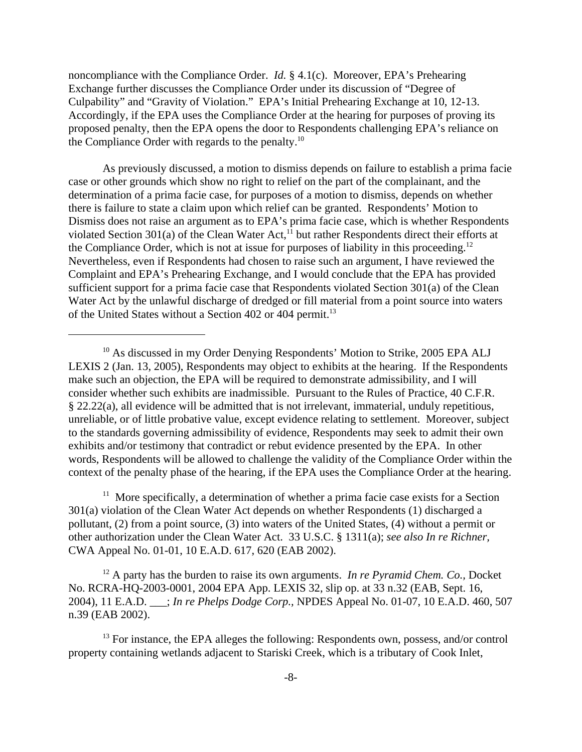noncompliance with the Compliance Order. *Id.* § 4.1(c). Moreover, EPA's Prehearing Exchange further discusses the Compliance Order under its discussion of "Degree of Culpability" and "Gravity of Violation." EPA's Initial Prehearing Exchange at 10, 12-13. Accordingly, if the EPA uses the Compliance Order at the hearing for purposes of proving its proposed penalty, then the EPA opens the door to Respondents challenging EPA's reliance on the Compliance Order with regards to the penalty.10

As previously discussed, a motion to dismiss depends on failure to establish a prima facie case or other grounds which show no right to relief on the part of the complainant, and the determination of a prima facie case, for purposes of a motion to dismiss, depends on whether there is failure to state a claim upon which relief can be granted. Respondents' Motion to Dismiss does not raise an argument as to EPA's prima facie case, which is whether Respondents violated Section 301(a) of the Clean Water Act, $11$  but rather Respondents direct their efforts at the Compliance Order, which is not at issue for purposes of liability in this proceeding.<sup>12</sup> Nevertheless, even if Respondents had chosen to raise such an argument, I have reviewed the Complaint and EPA's Prehearing Exchange, and I would conclude that the EPA has provided sufficient support for a prima facie case that Respondents violated Section 301(a) of the Clean Water Act by the unlawful discharge of dredged or fill material from a point source into waters of the United States without a Section 402 or 404 permit.<sup>13</sup>

 $11$  More specifically, a determination of whether a prima facie case exists for a Section 301(a) violation of the Clean Water Act depends on whether Respondents (1) discharged a pollutant, (2) from a point source, (3) into waters of the United States, (4) without a permit or other authorization under the Clean Water Act. 33 U.S.C. § 1311(a); *see also In re Richner,* CWA Appeal No. 01-01, 10 E.A.D. 617, 620 (EAB 2002).

<sup>12</sup> A party has the burden to raise its own arguments. *In re Pyramid Chem. Co.*, Docket No. RCRA-HQ-2003-0001, 2004 EPA App. LEXIS 32, slip op. at 33 n.32 (EAB, Sept. 16, 2004), 11 E.A.D. \_\_\_; *In re Phelps Dodge Corp.,* NPDES Appeal No. 01-07, 10 E.A.D. 460, 507 n.39 (EAB 2002).

 $<sup>13</sup>$  For instance, the EPA alleges the following: Respondents own, possess, and/or control</sup> property containing wetlands adjacent to Stariski Creek, which is a tributary of Cook Inlet,

<sup>&</sup>lt;sup>10</sup> As discussed in my Order Denying Respondents' Motion to Strike, 2005 EPA ALJ LEXIS 2 (Jan. 13, 2005), Respondents may object to exhibits at the hearing. If the Respondents make such an objection, the EPA will be required to demonstrate admissibility, and I will consider whether such exhibits are inadmissible. Pursuant to the Rules of Practice, 40 C.F.R. § 22.22(a), all evidence will be admitted that is not irrelevant, immaterial, unduly repetitious, unreliable, or of little probative value, except evidence relating to settlement. Moreover, subject to the standards governing admissibility of evidence, Respondents may seek to admit their own exhibits and/or testimony that contradict or rebut evidence presented by the EPA. In other words, Respondents will be allowed to challenge the validity of the Compliance Order within the context of the penalty phase of the hearing, if the EPA uses the Compliance Order at the hearing.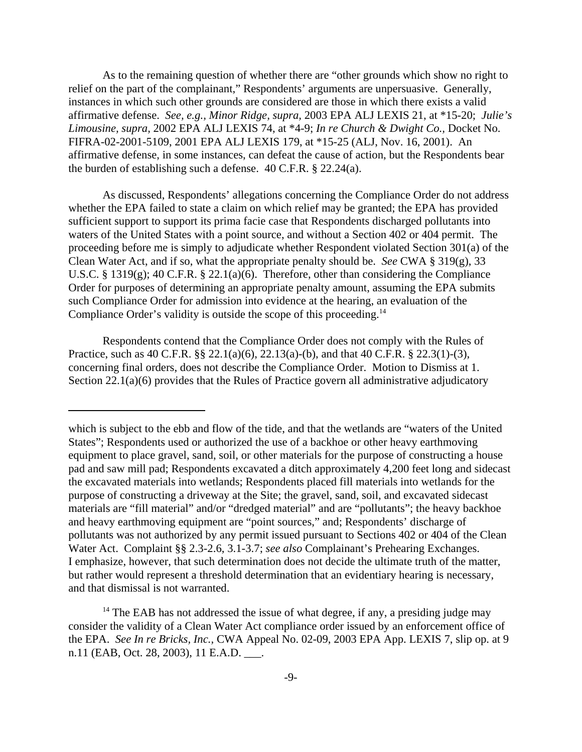As to the remaining question of whether there are "other grounds which show no right to relief on the part of the complainant," Respondents' arguments are unpersuasive. Generally, instances in which such other grounds are considered are those in which there exists a valid affirmative defense. *See, e.g., Minor Ridge, supra,* 2003 EPA ALJ LEXIS 21, at \*15-20; *Julie's Limousine, supra,* 2002 EPA ALJ LEXIS 74, at \*4-9; *In re Church & Dwight Co.,* Docket No. FIFRA-02-2001-5109, 2001 EPA ALJ LEXIS 179, at \*15-25 (ALJ, Nov. 16, 2001). An affirmative defense, in some instances, can defeat the cause of action, but the Respondents bear the burden of establishing such a defense. 40 C.F.R. § 22.24(a).

As discussed, Respondents' allegations concerning the Compliance Order do not address whether the EPA failed to state a claim on which relief may be granted; the EPA has provided sufficient support to support its prima facie case that Respondents discharged pollutants into waters of the United States with a point source, and without a Section 402 or 404 permit. The proceeding before me is simply to adjudicate whether Respondent violated Section 301(a) of the Clean Water Act, and if so, what the appropriate penalty should be. *See* CWA § 319(g), 33 U.S.C. § 1319(g); 40 C.F.R. § 22.1(a)(6). Therefore, other than considering the Compliance Order for purposes of determining an appropriate penalty amount, assuming the EPA submits such Compliance Order for admission into evidence at the hearing, an evaluation of the Compliance Order's validity is outside the scope of this proceeding.<sup>14</sup>

Respondents contend that the Compliance Order does not comply with the Rules of Practice, such as 40 C.F.R. §§ 22.1(a)(6), 22.13(a)-(b), and that 40 C.F.R. § 22.3(1)-(3), concerning final orders, does not describe the Compliance Order. Motion to Dismiss at 1. Section 22.1(a)(6) provides that the Rules of Practice govern all administrative adjudicatory

which is subject to the ebb and flow of the tide, and that the wetlands are "waters of the United States"; Respondents used or authorized the use of a backhoe or other heavy earthmoving equipment to place gravel, sand, soil, or other materials for the purpose of constructing a house pad and saw mill pad; Respondents excavated a ditch approximately 4,200 feet long and sidecast the excavated materials into wetlands; Respondents placed fill materials into wetlands for the purpose of constructing a driveway at the Site; the gravel, sand, soil, and excavated sidecast materials are "fill material" and/or "dredged material" and are "pollutants"; the heavy backhoe and heavy earthmoving equipment are "point sources," and; Respondents' discharge of pollutants was not authorized by any permit issued pursuant to Sections 402 or 404 of the Clean Water Act. Complaint §§ 2.3-2.6, 3.1-3.7; *see also* Complainant's Prehearing Exchanges. I emphasize, however, that such determination does not decide the ultimate truth of the matter, but rather would represent a threshold determination that an evidentiary hearing is necessary, and that dismissal is not warranted.

 $14$  The EAB has not addressed the issue of what degree, if any, a presiding judge may consider the validity of a Clean Water Act compliance order issued by an enforcement office of the EPA. *See In re Bricks, Inc.,* CWA Appeal No. 02-09, 2003 EPA App. LEXIS 7, slip op. at 9 n.11 (EAB, Oct. 28, 2003), 11 E.A.D. \_\_\_.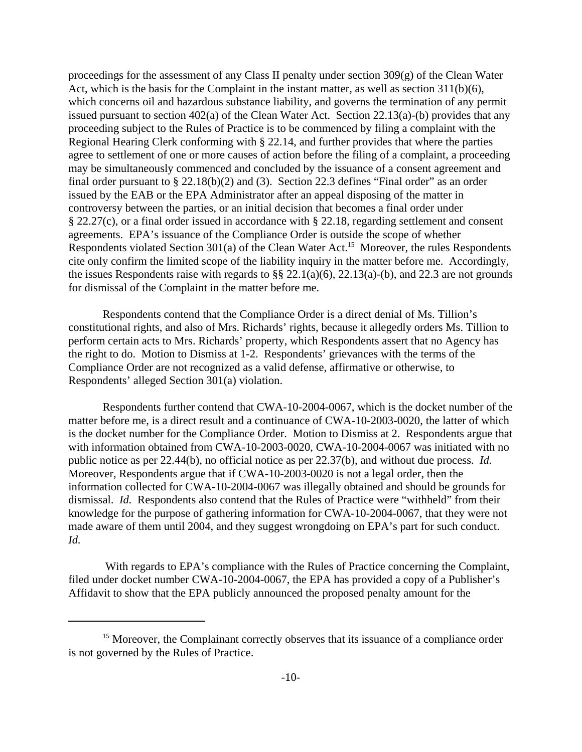proceedings for the assessment of any Class II penalty under section 309(g) of the Clean Water Act, which is the basis for the Complaint in the instant matter, as well as section 311(b)(6), which concerns oil and hazardous substance liability, and governs the termination of any permit issued pursuant to section 402(a) of the Clean Water Act. Section 22.13(a)-(b) provides that any proceeding subject to the Rules of Practice is to be commenced by filing a complaint with the Regional Hearing Clerk conforming with § 22.14, and further provides that where the parties agree to settlement of one or more causes of action before the filing of a complaint, a proceeding may be simultaneously commenced and concluded by the issuance of a consent agreement and final order pursuant to § 22.18(b)(2) and (3). Section 22.3 defines "Final order" as an order issued by the EAB or the EPA Administrator after an appeal disposing of the matter in controversy between the parties, or an initial decision that becomes a final order under § 22.27(c), or a final order issued in accordance with § 22.18, regarding settlement and consent agreements. EPA's issuance of the Compliance Order is outside the scope of whether Respondents violated Section 301(a) of the Clean Water Act.<sup>15</sup> Moreover, the rules Respondents cite only confirm the limited scope of the liability inquiry in the matter before me. Accordingly, the issues Respondents raise with regards to  $\S § 22.1(a)(6)$ ,  $22.13(a)-(b)$ , and  $22.3$  are not grounds for dismissal of the Complaint in the matter before me.

Respondents contend that the Compliance Order is a direct denial of Ms. Tillion's constitutional rights, and also of Mrs. Richards' rights, because it allegedly orders Ms. Tillion to perform certain acts to Mrs. Richards' property, which Respondents assert that no Agency has the right to do. Motion to Dismiss at 1-2. Respondents' grievances with the terms of the Compliance Order are not recognized as a valid defense, affirmative or otherwise, to Respondents' alleged Section 301(a) violation.

Respondents further contend that CWA-10-2004-0067, which is the docket number of the matter before me, is a direct result and a continuance of CWA-10-2003-0020, the latter of which is the docket number for the Compliance Order. Motion to Dismiss at 2. Respondents argue that with information obtained from CWA-10-2003-0020, CWA-10-2004-0067 was initiated with no public notice as per 22.44(b), no official notice as per 22.37(b), and without due process. *Id.* Moreover, Respondents argue that if CWA-10-2003-0020 is not a legal order, then the information collected for CWA-10-2004-0067 was illegally obtained and should be grounds for dismissal. *Id.* Respondents also contend that the Rules of Practice were "withheld" from their knowledge for the purpose of gathering information for CWA-10-2004-0067, that they were not made aware of them until 2004, and they suggest wrongdoing on EPA's part for such conduct. *Id.*

 With regards to EPA's compliance with the Rules of Practice concerning the Complaint, filed under docket number CWA-10-2004-0067, the EPA has provided a copy of a Publisher's Affidavit to show that the EPA publicly announced the proposed penalty amount for the

<sup>&</sup>lt;sup>15</sup> Moreover, the Complainant correctly observes that its issuance of a compliance order is not governed by the Rules of Practice.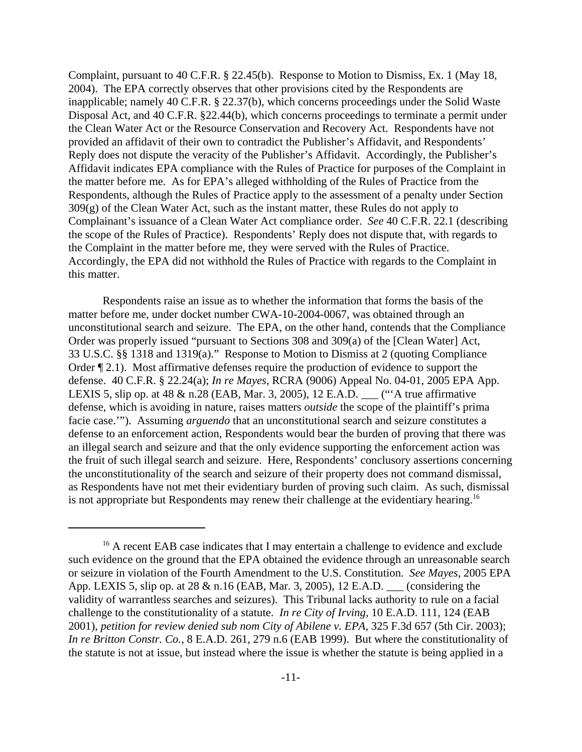Complaint, pursuant to 40 C.F.R. § 22.45(b). Response to Motion to Dismiss, Ex. 1 (May 18, 2004). The EPA correctly observes that other provisions cited by the Respondents are inapplicable; namely 40 C.F.R. § 22.37(b), which concerns proceedings under the Solid Waste Disposal Act, and 40 C.F.R. §22.44(b), which concerns proceedings to terminate a permit under the Clean Water Act or the Resource Conservation and Recovery Act. Respondents have not provided an affidavit of their own to contradict the Publisher's Affidavit, and Respondents' Reply does not dispute the veracity of the Publisher's Affidavit. Accordingly, the Publisher's Affidavit indicates EPA compliance with the Rules of Practice for purposes of the Complaint in the matter before me. As for EPA's alleged withholding of the Rules of Practice from the Respondents, although the Rules of Practice apply to the assessment of a penalty under Section  $309(g)$  of the Clean Water Act, such as the instant matter, these Rules do not apply to Complainant's issuance of a Clean Water Act compliance order. *See* 40 C.F.R. 22.1 (describing the scope of the Rules of Practice). Respondents' Reply does not dispute that, with regards to the Complaint in the matter before me, they were served with the Rules of Practice. Accordingly, the EPA did not withhold the Rules of Practice with regards to the Complaint in this matter.

Respondents raise an issue as to whether the information that forms the basis of the matter before me, under docket number CWA-10-2004-0067, was obtained through an unconstitutional search and seizure. The EPA, on the other hand, contends that the Compliance Order was properly issued "pursuant to Sections 308 and 309(a) of the [Clean Water] Act, 33 U.S.C. §§ 1318 and 1319(a)." Response to Motion to Dismiss at 2 (quoting Compliance Order ¶ 2.1). Most affirmative defenses require the production of evidence to support the defense. 40 C.F.R. § 22.24(a); *In re Mayes,* RCRA (9006) Appeal No. 04-01, 2005 EPA App. LEXIS 5, slip op. at 48 & n.28 (EAB, Mar. 3, 2005), 12 E.A.D. \_\_\_ ("'A true affirmative defense, which is avoiding in nature, raises matters *outside* the scope of the plaintiff's prima facie case.'"). Assuming *arguendo* that an unconstitutional search and seizure constitutes a defense to an enforcement action, Respondents would bear the burden of proving that there was an illegal search and seizure and that the only evidence supporting the enforcement action was the fruit of such illegal search and seizure. Here, Respondents' conclusory assertions concerning the unconstitutionality of the search and seizure of their property does not command dismissal, as Respondents have not met their evidentiary burden of proving such claim. As such, dismissal is not appropriate but Respondents may renew their challenge at the evidentiary hearing.<sup>16</sup>

<sup>&</sup>lt;sup>16</sup> A recent EAB case indicates that I may entertain a challenge to evidence and exclude such evidence on the ground that the EPA obtained the evidence through an unreasonable search or seizure in violation of the Fourth Amendment to the U.S. Constitution. *See Mayes,* 2005 EPA App. LEXIS 5, slip op. at 28 & n.16 (EAB, Mar. 3, 2005), 12 E.A.D. \_\_\_ (considering the validity of warrantless searches and seizures). This Tribunal lacks authority to rule on a facial challenge to the constitutionality of a statute. *In re City of Irving,* 10 E.A.D. 111, 124 (EAB 2001), *petition for review denied sub nom City of Abilene v. EPA,* 325 F.3d 657 (5th Cir. 2003); *In re Britton Constr. Co.,* 8 E.A.D. 261, 279 n.6 (EAB 1999). But where the constitutionality of the statute is not at issue, but instead where the issue is whether the statute is being applied in a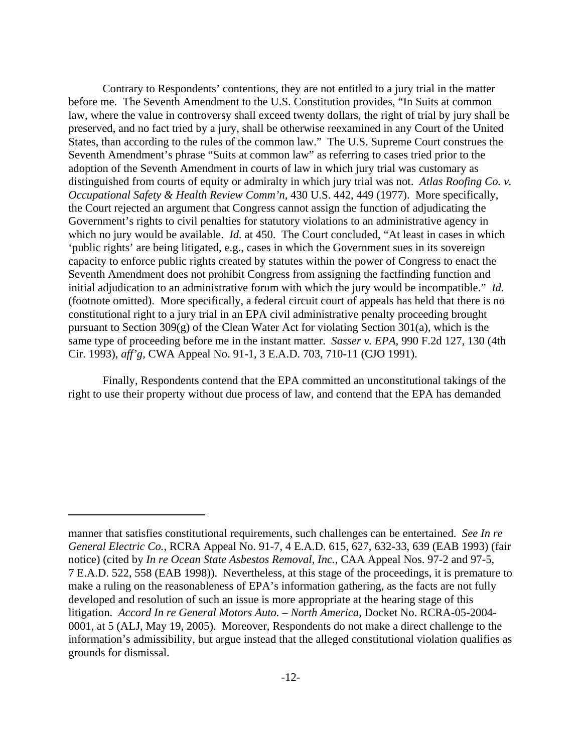Contrary to Respondents' contentions, they are not entitled to a jury trial in the matter before me. The Seventh Amendment to the U.S. Constitution provides, "In Suits at common law, where the value in controversy shall exceed twenty dollars, the right of trial by jury shall be preserved, and no fact tried by a jury, shall be otherwise reexamined in any Court of the United States, than according to the rules of the common law." The U.S. Supreme Court construes the Seventh Amendment's phrase "Suits at common law" as referring to cases tried prior to the adoption of the Seventh Amendment in courts of law in which jury trial was customary as distinguished from courts of equity or admiralty in which jury trial was not. *Atlas Roofing Co. v. Occupational Safety & Health Review Comm'n,* 430 U.S. 442, 449 (1977). More specifically, the Court rejected an argument that Congress cannot assign the function of adjudicating the Government's rights to civil penalties for statutory violations to an administrative agency in which no jury would be available. *Id.* at 450. The Court concluded, "At least in cases in which 'public rights' are being litigated, e.g., cases in which the Government sues in its sovereign capacity to enforce public rights created by statutes within the power of Congress to enact the Seventh Amendment does not prohibit Congress from assigning the factfinding function and initial adjudication to an administrative forum with which the jury would be incompatible." *Id.* (footnote omitted). More specifically, a federal circuit court of appeals has held that there is no constitutional right to a jury trial in an EPA civil administrative penalty proceeding brought pursuant to Section 309(g) of the Clean Water Act for violating Section 301(a), which is the same type of proceeding before me in the instant matter. *Sasser v. EPA,* 990 F.2d 127, 130 (4th Cir. 1993), *aff'g,* CWA Appeal No. 91-1, 3 E.A.D. 703, 710-11 (CJO 1991).

Finally, Respondents contend that the EPA committed an unconstitutional takings of the right to use their property without due process of law, and contend that the EPA has demanded

manner that satisfies constitutional requirements, such challenges can be entertained. *See In re General Electric Co.*, RCRA Appeal No. 91-7, 4 E.A.D. 615, 627, 632-33, 639 (EAB 1993) (fair notice) (cited by *In re Ocean State Asbestos Removal, Inc.,* CAA Appeal Nos. 97-2 and 97-5, 7 E.A.D. 522, 558 (EAB 1998)). Nevertheless, at this stage of the proceedings, it is premature to make a ruling on the reasonableness of EPA's information gathering, as the facts are not fully developed and resolution of such an issue is more appropriate at the hearing stage of this litigation. *Accord In re General Motors Auto. – North America,* Docket No. RCRA-05-2004- 0001, at 5 (ALJ, May 19, 2005). Moreover, Respondents do not make a direct challenge to the information's admissibility, but argue instead that the alleged constitutional violation qualifies as grounds for dismissal.